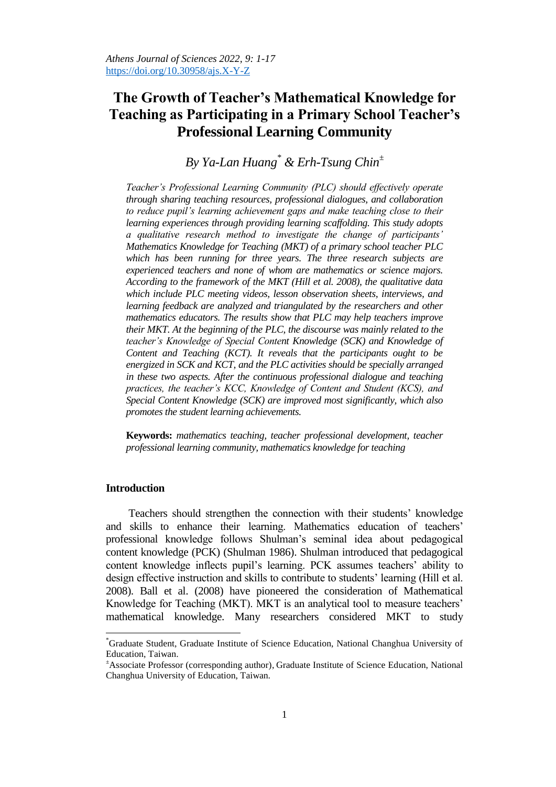# **The Growth of Teacher's Mathematical Knowledge for Teaching as Participating in a Primary School Teacher's Professional Learning Community**

## *By Ya-Lan Huang\* & Erh-Tsung Chin<sup>±</sup>*

*Teacher's Professional Learning Community (PLC) should effectively operate through sharing teaching resources, professional dialogues, and collaboration to reduce pupil's learning achievement gaps and make teaching close to their learning experiences through providing learning scaffolding. This study adopts a qualitative research method to investigate the change of participants' Mathematics Knowledge for Teaching (MKT) of a primary school teacher PLC which has been running for three years. The three research subjects are experienced teachers and none of whom are mathematics or science majors. According to the framework of the MKT (Hill et al. 2008), the qualitative data which include PLC meeting videos, lesson observation sheets, interviews, and*  learning feedback are analyzed and triangulated by the researchers and other *mathematics educators. The results show that PLC may help teachers improve their MKT. At the beginning of the PLC, the discourse was mainly related to the teacher's Knowledge of Special Content Knowledge (SCK) and Knowledge of Content and Teaching (KCT). It reveals that the participants ought to be energized in SCK and KCT, and the PLC activities should be specially arranged in these two aspects. After the continuous professional dialogue and teaching practices, the teacher's KCC, Knowledge of Content and Student (KCS), and Special Content Knowledge (SCK) are improved most significantly, which also promotes the student learning achievements.* 

**Keywords:** *mathematics teaching, teacher professional development, teacher professional learning community, mathematics knowledge for teaching* 

## **Introduction**

 $\overline{a}$ 

Teachers should strengthen the connection with their students' knowledge and skills to enhance their learning. Mathematics education of teachers' professional knowledge follows Shulman's seminal idea about pedagogical content knowledge (PCK) (Shulman 1986). Shulman introduced that pedagogical content knowledge inflects pupil's learning. PCK assumes teachers' ability to design effective instruction and skills to contribute to students' learning (Hill et al. 2008). Ball et al. (2008) have pioneered the consideration of Mathematical Knowledge for Teaching (MKT). MKT is an analytical tool to measure teachers' mathematical knowledge. Many researchers considered MKT to study

<sup>\*</sup>Graduate Student, Graduate Institute of Science Education, National Changhua University of Education, Taiwan.

<sup>±</sup>Associate Professor (corresponding author), Graduate Institute of Science Education, National Changhua University of Education, Taiwan.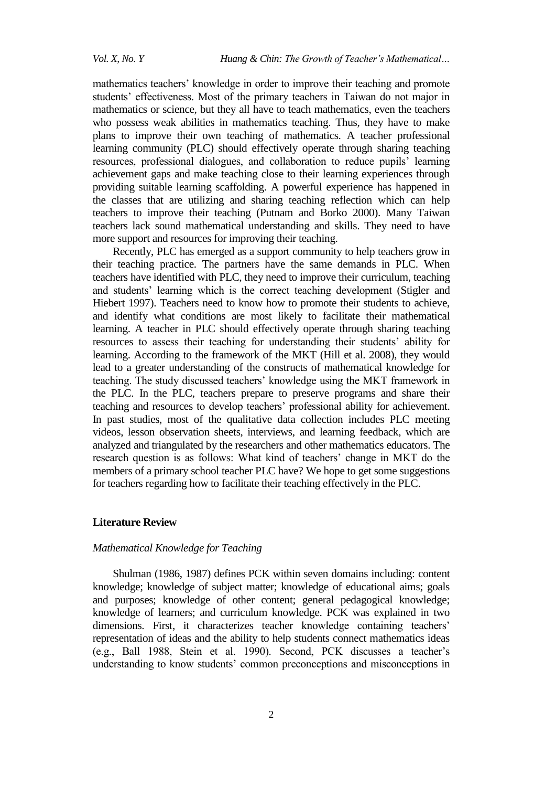mathematics teachers' knowledge in order to improve their teaching and promote students' effectiveness. Most of the primary teachers in Taiwan do not major in mathematics or science, but they all have to teach mathematics, even the teachers who possess weak abilities in mathematics teaching. Thus, they have to make plans to improve their own teaching of mathematics. A teacher professional learning community (PLC) should effectively operate through sharing teaching resources, professional dialogues, and collaboration to reduce pupils' learning achievement gaps and make teaching close to their learning experiences through providing suitable learning scaffolding. A powerful experience has happened in the classes that are utilizing and sharing teaching reflection which can help teachers to improve their teaching (Putnam and Borko 2000). Many Taiwan teachers lack sound mathematical understanding and skills. They need to have more support and resources for improving their teaching.

Recently, PLC has emerged as a support community to help teachers grow in their teaching practice. The partners have the same demands in PLC. When teachers have identified with PLC, they need to improve their curriculum, teaching and students' learning which is the correct teaching development (Stigler and Hiebert 1997). Teachers need to know how to promote their students to achieve, and identify what conditions are most likely to facilitate their mathematical learning. A teacher in PLC should effectively operate through sharing teaching resources to assess their teaching for understanding their students' ability for learning. According to the framework of the MKT (Hill et al. 2008), they would lead to a greater understanding of the constructs of mathematical knowledge for teaching. The study discussed teachers' knowledge using the MKT framework in the PLC. In the PLC, teachers prepare to preserve programs and share their teaching and resources to develop teachers' professional ability for achievement. In past studies, most of the qualitative data collection includes PLC meeting videos, lesson observation sheets, interviews, and learning feedback, which are analyzed and triangulated by the researchers and other mathematics educators. The research question is as follows: What kind of teachers' change in MKT do the members of a primary school teacher PLC have? We hope to get some suggestions for teachers regarding how to facilitate their teaching effectively in the PLC.

## **Literature Review**

## *Mathematical Knowledge for Teaching*

Shulman (1986, 1987) defines PCK within seven domains including: content knowledge; knowledge of subject matter; knowledge of educational aims; goals and purposes; knowledge of other content; general pedagogical knowledge; knowledge of learners; and curriculum knowledge. PCK was explained in two dimensions. First, it characterizes teacher knowledge containing teachers' representation of ideas and the ability to help students connect mathematics ideas (e.g., Ball 1988, Stein et al. 1990). Second, PCK discusses a teacher's understanding to know students' common preconceptions and misconceptions in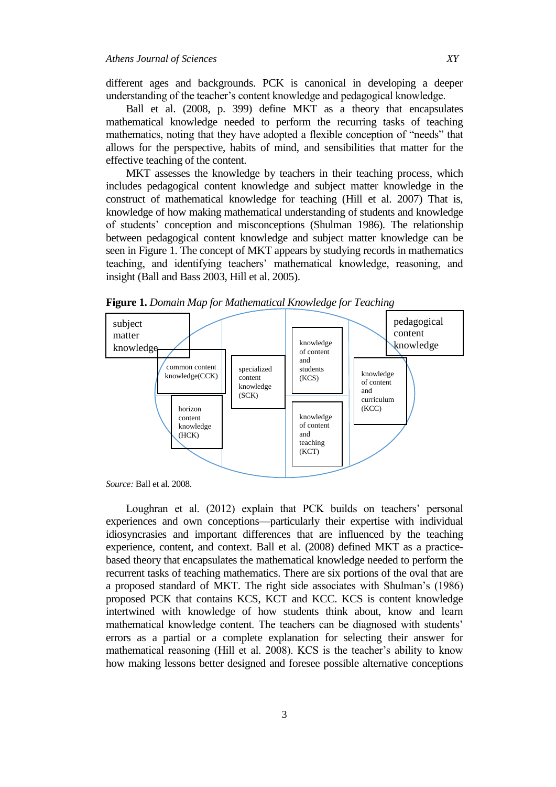different ages and backgrounds. PCK is canonical in developing a deeper understanding of the teacher's content knowledge and pedagogical knowledge.

Ball et al. (2008, p. 399) define MKT as a theory that encapsulates mathematical knowledge needed to perform the recurring tasks of teaching mathematics, noting that they have adopted a flexible conception of "needs" that allows for the perspective, habits of mind, and sensibilities that matter for the effective teaching of the content.

MKT assesses the knowledge by teachers in their teaching process, which includes pedagogical content knowledge and subject matter knowledge in the construct of mathematical knowledge for teaching (Hill et al. 2007) That is, knowledge of how making mathematical understanding of students and knowledge of students' conception and misconceptions (Shulman 1986). The relationship between pedagogical content knowledge and subject matter knowledge can be seen in Figure 1. The concept of MKT appears by studying records in mathematics teaching, and identifying teachers' mathematical knowledge, reasoning, and insight (Ball and Bass 2003, Hill et al. 2005).



**Figure 1.** *Domain Map for Mathematical Knowledge for Teaching*

Loughran et al. (2012) explain that PCK builds on teachers' personal experiences and own conceptions—particularly their expertise with individual idiosyncrasies and important differences that are influenced by the teaching experience, content, and context. Ball et al. (2008) defined MKT as a practicebased theory that encapsulates the mathematical knowledge needed to perform the recurrent tasks of teaching mathematics. There are six portions of the oval that are a proposed standard of MKT. The right side associates with Shulman's (1986) proposed PCK that contains KCS, KCT and KCC. KCS is content knowledge intertwined with knowledge of how students think about, know and learn mathematical knowledge content. The teachers can be diagnosed with students' errors as a partial or a complete explanation for selecting their answer for mathematical reasoning (Hill et al. 2008). KCS is the teacher's ability to know how making lessons better designed and foresee possible alternative conceptions

*Source:* Ball et al. 2008.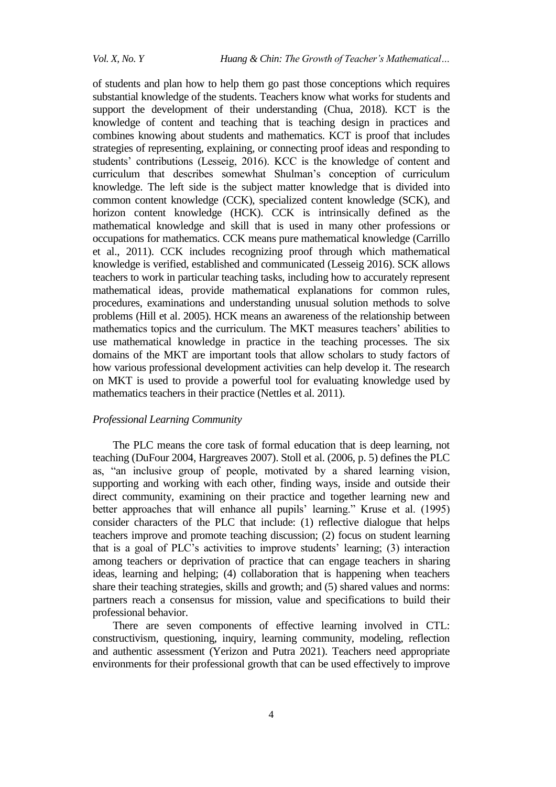of students and plan how to help them go past those conceptions which requires substantial knowledge of the students. Teachers know what works for students and support the development of their understanding (Chua, 2018). KCT is the knowledge of content and teaching that is teaching design in practices and combines knowing about students and mathematics. KCT is proof that includes strategies of representing, explaining, or connecting proof ideas and responding to students' contributions (Lesseig, 2016). KCC is the knowledge of content and curriculum that describes somewhat Shulman's conception of curriculum knowledge. The left side is the subject matter knowledge that is divided into common content knowledge (CCK), specialized content knowledge (SCK), and horizon content knowledge (HCK). CCK is intrinsically defined as the mathematical knowledge and skill that is used in many other professions or occupations for mathematics. CCK means pure mathematical knowledge (Carrillo et al., 2011). CCK includes recognizing proof through which mathematical knowledge is verified, established and communicated (Lesseig 2016). SCK allows teachers to work in particular teaching tasks, including how to accurately represent mathematical ideas, provide mathematical explanations for common rules, procedures, examinations and understanding unusual solution methods to solve problems (Hill et al. 2005). HCK means an awareness of the relationship between mathematics topics and the curriculum. The MKT measures teachers' abilities to use mathematical knowledge in practice in the teaching processes. The six domains of the MKT are important tools that allow scholars to study factors of how various professional development activities can help develop it. The research on MKT is used to provide a powerful tool for evaluating knowledge used by mathematics teachers in their practice (Nettles et al. 2011).

## *Professional Learning Community*

The PLC means the core task of formal education that is deep learning, not teaching (DuFour 2004, Hargreaves 2007). Stoll et al. (2006, p. 5) defines the PLC as, "an inclusive group of people, motivated by a shared learning vision, supporting and working with each other, finding ways, inside and outside their direct community, examining on their practice and together learning new and better approaches that will enhance all pupils' learning." Kruse et al. (1995) consider characters of the PLC that include: (1) reflective dialogue that helps teachers improve and promote teaching discussion; (2) focus on student learning that is a goal of PLC's activities to improve students' learning; (3) interaction among teachers or deprivation of practice that can engage teachers in sharing ideas, learning and helping; (4) collaboration that is happening when teachers share their teaching strategies, skills and growth; and (5) shared values and norms: partners reach a consensus for mission, value and specifications to build their professional behavior.

There are seven components of effective learning involved in CTL: constructivism, questioning, inquiry, learning community, modeling, reflection and authentic assessment (Yerizon and Putra 2021). Teachers need appropriate environments for their professional growth that can be used effectively to improve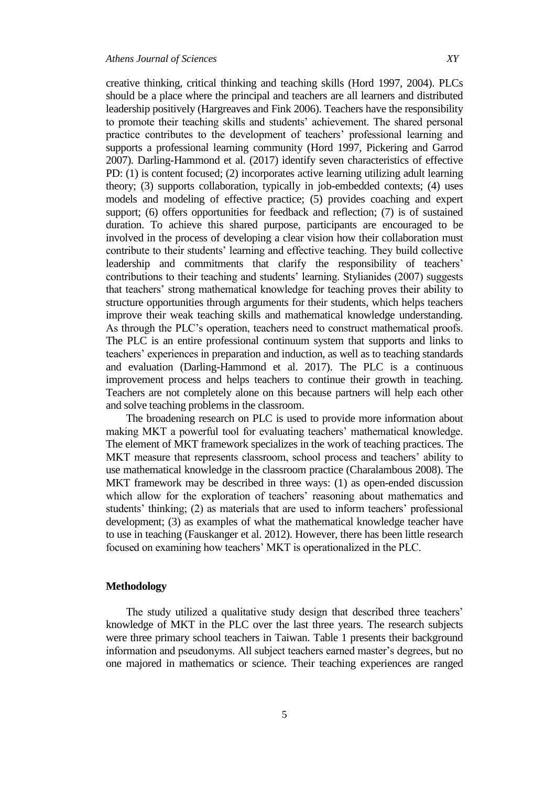creative thinking, critical thinking and teaching skills (Hord 1997, 2004). PLCs should be a place where the principal and teachers are all learners and distributed leadership positively (Hargreaves and Fink 2006). Teachers have the responsibility to promote their teaching skills and students' achievement. The shared personal practice contributes to the development of teachers' professional learning and supports a professional learning community (Hord 1997, Pickering and Garrod 2007). Darling-Hammond et al. (2017) identify seven characteristics of effective PD: (1) is content focused; (2) incorporates active learning utilizing adult learning theory; (3) supports collaboration, typically in job-embedded contexts; (4) uses models and modeling of effective practice; (5) provides coaching and expert support; (6) offers opportunities for feedback and reflection; (7) is of sustained duration. To achieve this shared purpose, participants are encouraged to be involved in the process of developing a clear vision how their collaboration must contribute to their students' learning and effective teaching. They build collective leadership and commitments that clarify the responsibility of teachers' contributions to their teaching and students' learning. Stylianides (2007) suggests that teachers' strong mathematical knowledge for teaching proves their ability to structure opportunities through arguments for their students, which helps teachers improve their weak teaching skills and mathematical knowledge understanding. As through the PLC's operation, teachers need to construct mathematical proofs. The PLC is an entire professional continuum system that supports and links to teachers' experiences in preparation and induction, as well as to teaching standards and evaluation (Darling-Hammond et al. 2017). The PLC is a continuous improvement process and helps teachers to continue their growth in teaching. Teachers are not completely alone on this because partners will help each other and solve teaching problems in the classroom.

The broadening research on PLC is used to provide more information about making MKT a powerful tool for evaluating teachers' mathematical knowledge. The element of MKT framework specializes in the work of teaching practices. The MKT measure that represents classroom, school process and teachers' ability to use mathematical knowledge in the classroom practice (Charalambous 2008). The MKT framework may be described in three ways: (1) as open-ended discussion which allow for the exploration of teachers' reasoning about mathematics and students' thinking; (2) as materials that are used to inform teachers' professional development; (3) as examples of what the mathematical knowledge teacher have to use in teaching (Fauskanger et al. 2012). However, there has been little research focused on examining how teachers' MKT is operationalized in the PLC.

#### **Methodology**

The study utilized a qualitative study design that described three teachers' knowledge of MKT in the PLC over the last three years. The research subjects were three primary school teachers in Taiwan. Table 1 presents their background information and pseudonyms. All subject teachers earned master's degrees, but no one majored in mathematics or science. Their teaching experiences are ranged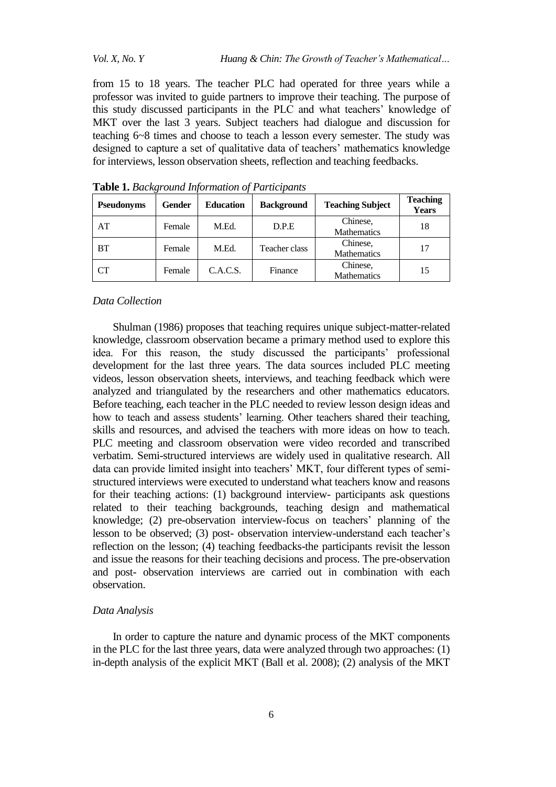from 15 to 18 years. The teacher PLC had operated for three years while a professor was invited to guide partners to improve their teaching. The purpose of this study discussed participants in the PLC and what teachers' knowledge of MKT over the last 3 years. Subject teachers had dialogue and discussion for teaching 6~8 times and choose to teach a lesson every semester. The study was designed to capture a set of qualitative data of teachers' mathematics knowledge for interviews, lesson observation sheets, reflection and teaching feedbacks.

| <b>Pseudonyms</b> | <b>Gender</b> | <b>Education</b> | <b>Background</b> | <b>Teaching Subject</b>        | <b>Teaching</b><br><b>Years</b> |
|-------------------|---------------|------------------|-------------------|--------------------------------|---------------------------------|
| AT                | Female        | M.Ed.            | D.P.E             | Chinese,<br><b>Mathematics</b> | 18                              |
| <b>BT</b>         | Female        | M.Ed.            | Teacher class     | Chinese,<br><b>Mathematics</b> | 17                              |
| CT                | Female        | C.A.C.S.         | Finance           | Chinese,<br><b>Mathematics</b> | 15                              |

**Table 1.** *Background Information of Participants*

#### *Data Collection*

Shulman (1986) proposes that teaching requires unique subject-matter-related knowledge, classroom observation became a primary method used to explore this idea. For this reason, the study discussed the participants' professional development for the last three years. The data sources included PLC meeting videos, lesson observation sheets, interviews, and teaching feedback which were analyzed and triangulated by the researchers and other mathematics educators. Before teaching, each teacher in the PLC needed to review lesson design ideas and how to teach and assess students' learning. Other teachers shared their teaching, skills and resources, and advised the teachers with more ideas on how to teach. PLC meeting and classroom observation were video recorded and transcribed verbatim. Semi-structured interviews are widely used in qualitative research. All data can provide limited insight into teachers' MKT, four different types of semistructured interviews were executed to understand what teachers know and reasons for their teaching actions: (1) background interview- participants ask questions related to their teaching backgrounds, teaching design and mathematical knowledge; (2) pre-observation interview-focus on teachers' planning of the lesson to be observed; (3) post- observation interview-understand each teacher's reflection on the lesson; (4) teaching feedbacks-the participants revisit the lesson and issue the reasons for their teaching decisions and process. The pre-observation and post- observation interviews are carried out in combination with each observation.

#### *Data Analysis*

In order to capture the nature and dynamic process of the MKT components in the PLC for the last three years, data were analyzed through two approaches: (1) in-depth analysis of the explicit MKT (Ball et al. 2008); (2) analysis of the MKT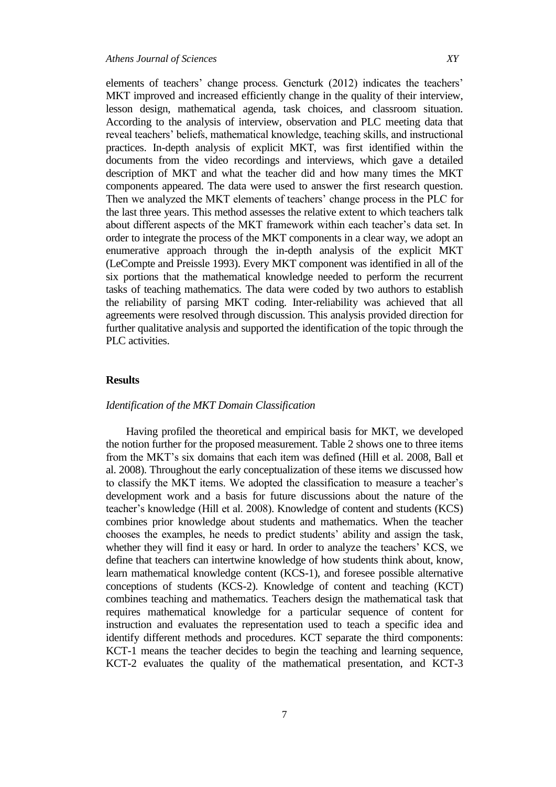elements of teachers' change process. Gencturk (2012) indicates the teachers' MKT improved and increased efficiently change in the quality of their interview, lesson design, mathematical agenda, task choices, and classroom situation. According to the analysis of interview, observation and PLC meeting data that reveal teachers' beliefs, mathematical knowledge, teaching skills, and instructional practices. In-depth analysis of explicit MKT, was first identified within the documents from the video recordings and interviews, which gave a detailed description of MKT and what the teacher did and how many times the MKT components appeared. The data were used to answer the first research question. Then we analyzed the MKT elements of teachers' change process in the PLC for the last three years. This method assesses the relative extent to which teachers talk about different aspects of the MKT framework within each teacher's data set. In order to integrate the process of the MKT components in a clear way, we adopt an enumerative approach through the in-depth analysis of the explicit MKT (LeCompte and Preissle 1993). Every MKT component was identified in all of the six portions that the mathematical knowledge needed to perform the recurrent tasks of teaching mathematics. The data were coded by two authors to establish the reliability of parsing MKT coding. Inter-reliability was achieved that all agreements were resolved through discussion. This analysis provided direction for further qualitative analysis and supported the identification of the topic through the PLC activities.

## **Results**

## *Identification of the MKT Domain Classification*

Having profiled the theoretical and empirical basis for MKT, we developed the notion further for the proposed measurement. Table 2 shows one to three items from the MKT's six domains that each item was defined (Hill et al. 2008, Ball et al. 2008). Throughout the early conceptualization of these items we discussed how to classify the MKT items. We adopted the classification to measure a teacher's development work and a basis for future discussions about the nature of the teacher's knowledge (Hill et al. 2008). Knowledge of content and students (KCS) combines prior knowledge about students and mathematics. When the teacher chooses the examples, he needs to predict students' ability and assign the task, whether they will find it easy or hard. In order to analyze the teachers' KCS, we define that teachers can intertwine knowledge of how students think about, know, learn mathematical knowledge content (KCS-1), and foresee possible alternative conceptions of students (KCS-2). Knowledge of content and teaching (KCT) combines teaching and mathematics. Teachers design the mathematical task that requires mathematical knowledge for a particular sequence of content for instruction and evaluates the representation used to teach a specific idea and identify different methods and procedures. KCT separate the third components: KCT-1 means the teacher decides to begin the teaching and learning sequence, KCT-2 evaluates the quality of the mathematical presentation, and KCT-3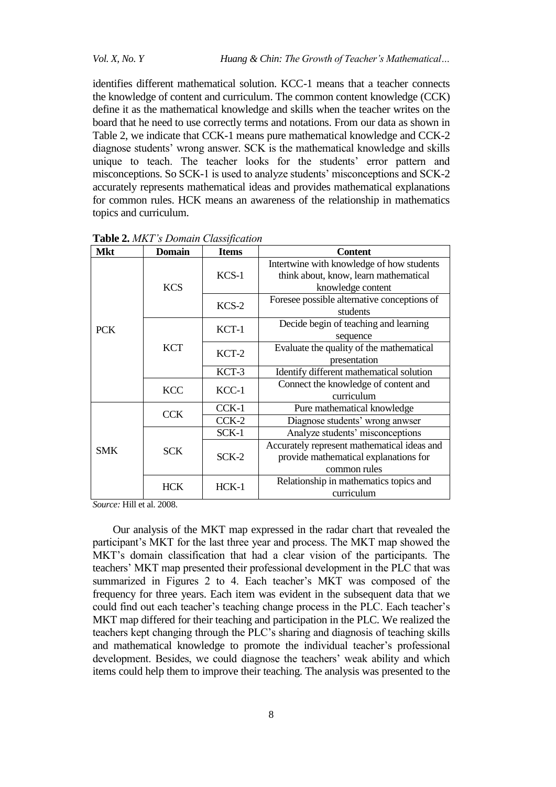identifies different mathematical solution. KCC-1 means that a teacher connects the knowledge of content and curriculum. The common content knowledge (CCK) define it as the mathematical knowledge and skills when the teacher writes on the board that he need to use correctly terms and notations. From our data as shown in Table 2, we indicate that CCK-1 means pure mathematical knowledge and CCK-2 diagnose students' wrong answer. SCK is the mathematical knowledge and skills unique to teach. The teacher looks for the students' error pattern and misconceptions. So SCK-1 is used to analyze students' misconceptions and SCK-2 accurately represents mathematical ideas and provides mathematical explanations for common rules. HCK means an awareness of the relationship in mathematics topics and curriculum.

| <b>Mkt</b> | <b>Domain</b> | <b>Items</b> | <b>Content</b>                              |  |
|------------|---------------|--------------|---------------------------------------------|--|
| <b>PCK</b> | <b>KCS</b>    | $KCS-1$      | Intertwine with knowledge of how students   |  |
|            |               |              | think about, know, learn mathematical       |  |
|            |               |              | knowledge content                           |  |
|            |               | $KCS-2$      | Foresee possible alternative conceptions of |  |
|            |               |              | students                                    |  |
|            | <b>KCT</b>    | $KCT-1$      | Decide begin of teaching and learning       |  |
|            |               |              | sequence                                    |  |
|            |               | $KCT-2$      | Evaluate the quality of the mathematical    |  |
|            |               |              | presentation                                |  |
|            |               | KCT-3        | Identify different mathematical solution    |  |
|            | <b>KCC</b>    | $KCC-1$      | Connect the knowledge of content and        |  |
|            |               |              | curriculum                                  |  |
| <b>SMK</b> | <b>CCK</b>    | CCK-1        | Pure mathematical knowledge                 |  |
|            |               | $CCK-2$      | Diagnose students' wrong anwser             |  |
|            | <b>SCK</b>    | SCK-1        | Analyze students' misconceptions            |  |
|            |               | $SCK-2$      | Accurately represent mathematical ideas and |  |
|            |               |              | provide mathematical explanations for       |  |
|            |               |              | common rules                                |  |
|            | <b>HCK</b>    | $HCK-1$      | Relationship in mathematics topics and      |  |
|            |               |              | curriculum                                  |  |

**Table 2.** *MKT's Domain Classification*

*Source:* Hill et al. 2008.

Our analysis of the MKT map expressed in the radar chart that revealed the participant's MKT for the last three year and process. The MKT map showed the MKT's domain classification that had a clear vision of the participants. The teachers' MKT map presented their professional development in the PLC that was summarized in Figures 2 to 4. Each teacher's MKT was composed of the frequency for three years. Each item was evident in the subsequent data that we could find out each teacher's teaching change process in the PLC. Each teacher's MKT map differed for their teaching and participation in the PLC. We realized the teachers kept changing through the PLC's sharing and diagnosis of teaching skills and mathematical knowledge to promote the individual teacher's professional development. Besides, we could diagnose the teachers' weak ability and which items could help them to improve their teaching. The analysis was presented to the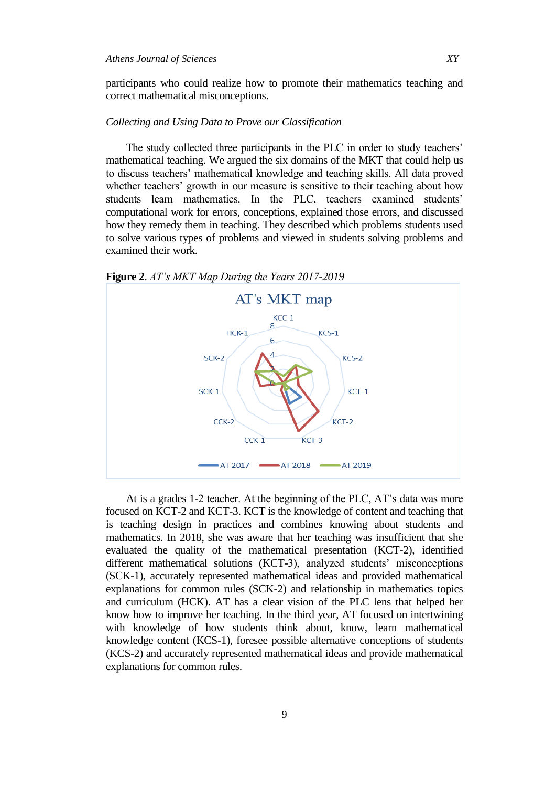participants who could realize how to promote their mathematics teaching and correct mathematical misconceptions.

## *Collecting and Using Data to Prove our Classification*

The study collected three participants in the PLC in order to study teachers' mathematical teaching. We argued the six domains of the MKT that could help us to discuss teachers' mathematical knowledge and teaching skills. All data proved whether teachers' growth in our measure is sensitive to their teaching about how students learn mathematics. In the PLC, teachers examined students' computational work for errors, conceptions, explained those errors, and discussed how they remedy them in teaching. They described which problems students used to solve various types of problems and viewed in students solving problems and examined their work.



**Figure 2**. *AT's MKT Map During the Years 2017-2019*

At is a grades 1-2 teacher. At the beginning of the PLC, AT's data was more focused on KCT-2 and KCT-3. KCT is the knowledge of content and teaching that is teaching design in practices and combines knowing about students and mathematics. In 2018, she was aware that her teaching was insufficient that she evaluated the quality of the mathematical presentation (KCT-2), identified different mathematical solutions (KCT-3), analyzed students' misconceptions (SCK-1), accurately represented mathematical ideas and provided mathematical explanations for common rules (SCK-2) and relationship in mathematics topics and curriculum (HCK). AT has a clear vision of the PLC lens that helped her know how to improve her teaching. In the third year, AT focused on intertwining with knowledge of how students think about, know, learn mathematical knowledge content (KCS-1), foresee possible alternative conceptions of students (KCS-2) and accurately represented mathematical ideas and provide mathematical explanations for common rules.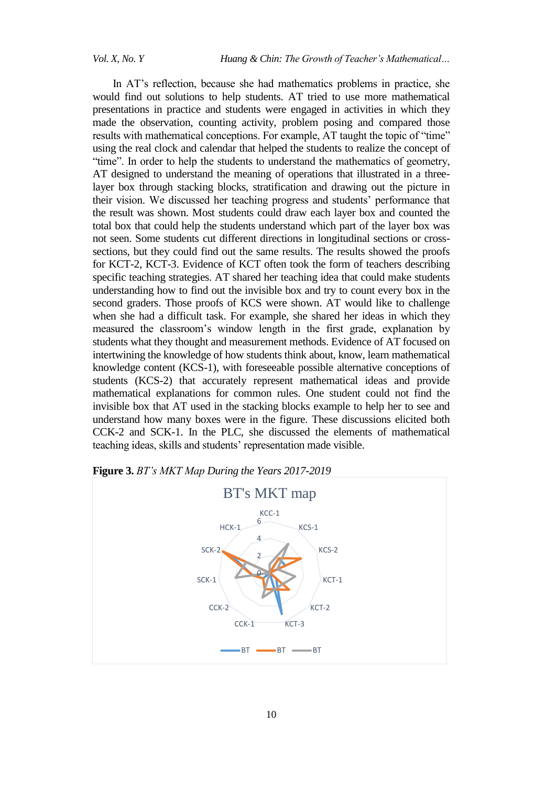In AT's reflection, because she had mathematics problems in practice, she would find out solutions to help students. AT tried to use more mathematical presentations in practice and students were engaged in activities in which they made the observation, counting activity, problem posing and compared those results with mathematical conceptions. For example, AT taught the topic of "time" using the real clock and calendar that helped the students to realize the concept of "time". In order to help the students to understand the mathematics of geometry, AT designed to understand the meaning of operations that illustrated in a threelayer box through stacking blocks, stratification and drawing out the picture in their vision. We discussed her teaching progress and students' performance that the result was shown. Most students could draw each layer box and counted the total box that could help the students understand which part of the layer box was not seen. Some students cut different directions in longitudinal sections or crosssections, but they could find out the same results. The results showed the proofs for KCT-2, KCT-3. Evidence of KCT often took the form of teachers describing specific teaching strategies. AT shared her teaching idea that could make students understanding how to find out the invisible box and try to count every box in the second graders. Those proofs of KCS were shown. AT would like to challenge when she had a difficult task. For example, she shared her ideas in which they measured the classroom's window length in the first grade, explanation by students what they thought and measurement methods. Evidence of AT focused on intertwining the knowledge of how students think about, know, learn mathematical knowledge content (KCS-1), with foreseeable possible alternative conceptions of students (KCS-2) that accurately represent mathematical ideas and provide mathematical explanations for common rules. One student could not find the invisible box that AT used in the stacking blocks example to help her to see and understand how many boxes were in the figure. These discussions elicited both CCK-2 and SCK-1. In the PLC, she discussed the elements of mathematical teaching ideas, skills and students' representation made visible.



**Figure 3.** *BT's MKT Map During the Years 2017-2019*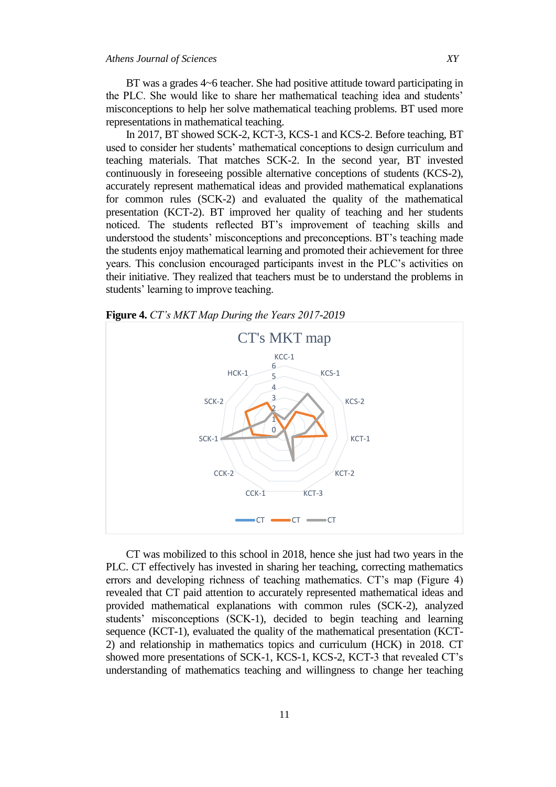BT was a grades 4~6 teacher. She had positive attitude toward participating in the PLC. She would like to share her mathematical teaching idea and students' misconceptions to help her solve mathematical teaching problems. BT used more representations in mathematical teaching.

In 2017, BT showed SCK-2, KCT-3, KCS-1 and KCS-2. Before teaching, BT used to consider her students' mathematical conceptions to design curriculum and teaching materials. That matches SCK-2. In the second year, BT invested continuously in foreseeing possible alternative conceptions of students (KCS-2), accurately represent mathematical ideas and provided mathematical explanations for common rules (SCK-2) and evaluated the quality of the mathematical presentation (KCT-2). BT improved her quality of teaching and her students noticed. The students reflected BT's improvement of teaching skills and understood the students' misconceptions and preconceptions. BT's teaching made the students enjoy mathematical learning and promoted their achievement for three years. This conclusion encouraged participants invest in the PLC's activities on their initiative. They realized that teachers must be to understand the problems in students' learning to improve teaching.



**Figure 4.** *CT's MKT Map During the Years 2017-2019*

CT was mobilized to this school in 2018, hence she just had two years in the PLC. CT effectively has invested in sharing her teaching, correcting mathematics errors and developing richness of teaching mathematics. CT's map (Figure 4) revealed that CT paid attention to accurately represented mathematical ideas and provided mathematical explanations with common rules (SCK-2), analyzed students' misconceptions (SCK-1), decided to begin teaching and learning sequence (KCT-1), evaluated the quality of the mathematical presentation (KCT-2) and relationship in mathematics topics and curriculum (HCK) in 2018. CT showed more presentations of SCK-1, KCS-1, KCS-2, KCT-3 that revealed CT's understanding of mathematics teaching and willingness to change her teaching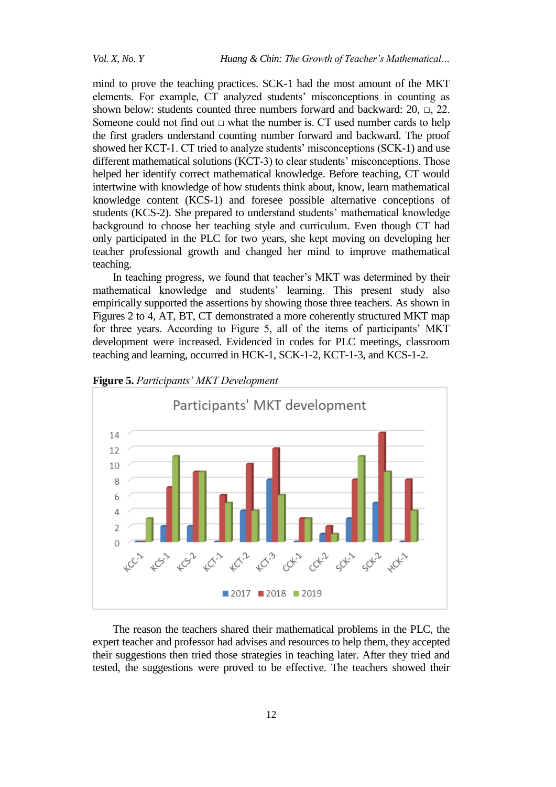mind to prove the teaching practices. SCK-1 had the most amount of the MKT elements. For example, CT analyzed students' misconceptions in counting as shown below: students counted three numbers forward and backward:  $20$ ,  $\Box$ ,  $22$ . Someone could not find out  $\Box$  what the number is. CT used number cards to help the first graders understand counting number forward and backward. The proof showed her KCT-1. CT tried to analyze students' misconceptions (SCK-1) and use different mathematical solutions (KCT-3) to clear students' misconceptions. Those helped her identify correct mathematical knowledge. Before teaching, CT would intertwine with knowledge of how students think about, know, learn mathematical knowledge content (KCS-1) and foresee possible alternative conceptions of students (KCS-2). She prepared to understand students' mathematical knowledge background to choose her teaching style and curriculum. Even though CT had only participated in the PLC for two years, she kept moving on developing her teacher professional growth and changed her mind to improve mathematical teaching.

In teaching progress, we found that teacher's MKT was determined by their mathematical knowledge and students' learning. This present study also empirically supported the assertions by showing those three teachers. As shown in Figures 2 to 4, AT, BT, CT demonstrated a more coherently structured MKT map for three years. According to Figure 5, all of the items of participants' MKT development were increased. Evidenced in codes for PLC meetings, classroom teaching and learning, occurred in HCK-1, SCK-1-2, KCT-1-3, and KCS-1-2.



**Figure 5.** *Participants' MKT Development*

The reason the teachers shared their mathematical problems in the PLC, the expert teacher and professor had advises and resources to help them, they accepted their suggestions then tried those strategies in teaching later. After they tried and tested, the suggestions were proved to be effective. The teachers showed their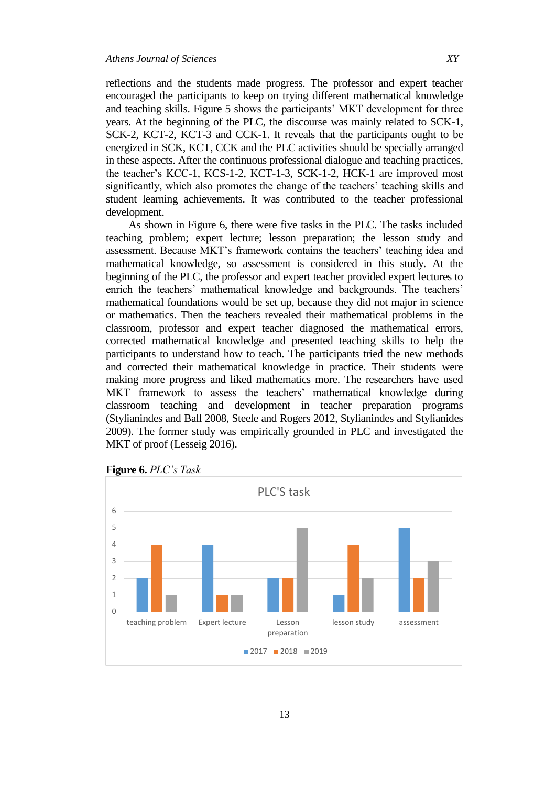reflections and the students made progress. The professor and expert teacher encouraged the participants to keep on trying different mathematical knowledge and teaching skills. Figure 5 shows the participants' MKT development for three years. At the beginning of the PLC, the discourse was mainly related to SCK-1, SCK-2, KCT-2, KCT-3 and CCK-1. It reveals that the participants ought to be energized in SCK, KCT, CCK and the PLC activities should be specially arranged in these aspects. After the continuous professional dialogue and teaching practices, the teacher's KCC-1, KCS-1-2, KCT-1-3, SCK-1-2, HCK-1 are improved most significantly, which also promotes the change of the teachers' teaching skills and student learning achievements. It was contributed to the teacher professional development.

As shown in Figure 6, there were five tasks in the PLC. The tasks included teaching problem; expert lecture; lesson preparation; the lesson study and assessment. Because MKT's framework contains the teachers' teaching idea and mathematical knowledge, so assessment is considered in this study. At the beginning of the PLC, the professor and expert teacher provided expert lectures to enrich the teachers' mathematical knowledge and backgrounds. The teachers' mathematical foundations would be set up, because they did not major in science or mathematics. Then the teachers revealed their mathematical problems in the classroom, professor and expert teacher diagnosed the mathematical errors, corrected mathematical knowledge and presented teaching skills to help the participants to understand how to teach. The participants tried the new methods and corrected their mathematical knowledge in practice. Their students were making more progress and liked mathematics more. The researchers have used MKT framework to assess the teachers' mathematical knowledge during classroom teaching and development in teacher preparation programs (Stylianindes and Ball 2008, Steele and Rogers 2012, Stylianindes and Stylianides 2009). The former study was empirically grounded in PLC and investigated the MKT of proof (Lesseig 2016).



**Figure 6.** *PLC's Task*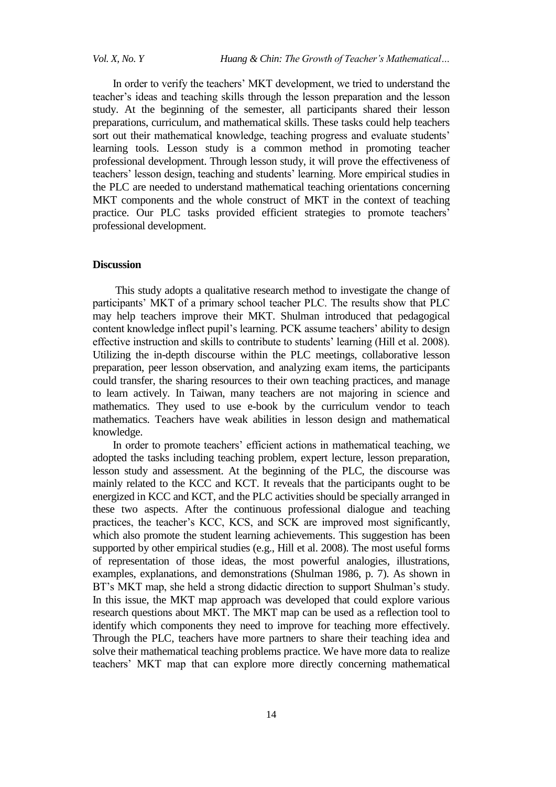In order to verify the teachers' MKT development, we tried to understand the teacher's ideas and teaching skills through the lesson preparation and the lesson study. At the beginning of the semester, all participants shared their lesson preparations, curriculum, and mathematical skills. These tasks could help teachers sort out their mathematical knowledge, teaching progress and evaluate students' learning tools. Lesson study is a common method in promoting teacher professional development. Through lesson study, it will prove the effectiveness of teachers' lesson design, teaching and students' learning. More empirical studies in the PLC are needed to understand mathematical teaching orientations concerning MKT components and the whole construct of MKT in the context of teaching practice. Our PLC tasks provided efficient strategies to promote teachers' professional development.

#### **Discussion**

This study adopts a qualitative research method to investigate the change of participants' MKT of a primary school teacher PLC. The results show that PLC may help teachers improve their MKT. Shulman introduced that pedagogical content knowledge inflect pupil's learning. PCK assume teachers' ability to design effective instruction and skills to contribute to students' learning (Hill et al. 2008). Utilizing the in-depth discourse within the PLC meetings, collaborative lesson preparation, peer lesson observation, and analyzing exam items, the participants could transfer, the sharing resources to their own teaching practices, and manage to learn actively. In Taiwan, many teachers are not majoring in science and mathematics. They used to use e-book by the curriculum vendor to teach mathematics. Teachers have weak abilities in lesson design and mathematical knowledge.

In order to promote teachers' efficient actions in mathematical teaching, we adopted the tasks including teaching problem, expert lecture, lesson preparation, lesson study and assessment. At the beginning of the PLC, the discourse was mainly related to the KCC and KCT. It reveals that the participants ought to be energized in KCC and KCT, and the PLC activities should be specially arranged in these two aspects. After the continuous professional dialogue and teaching practices, the teacher's KCC, KCS, and SCK are improved most significantly, which also promote the student learning achievements. This suggestion has been supported by other empirical studies (e.g., Hill et al. 2008). The most useful forms of representation of those ideas, the most powerful analogies, illustrations, examples, explanations, and demonstrations (Shulman 1986, p. 7). As shown in BT's MKT map, she held a strong didactic direction to support Shulman's study. In this issue, the MKT map approach was developed that could explore various research questions about MKT. The MKT map can be used as a reflection tool to identify which components they need to improve for teaching more effectively. Through the PLC, teachers have more partners to share their teaching idea and solve their mathematical teaching problems practice. We have more data to realize teachers' MKT map that can explore more directly concerning mathematical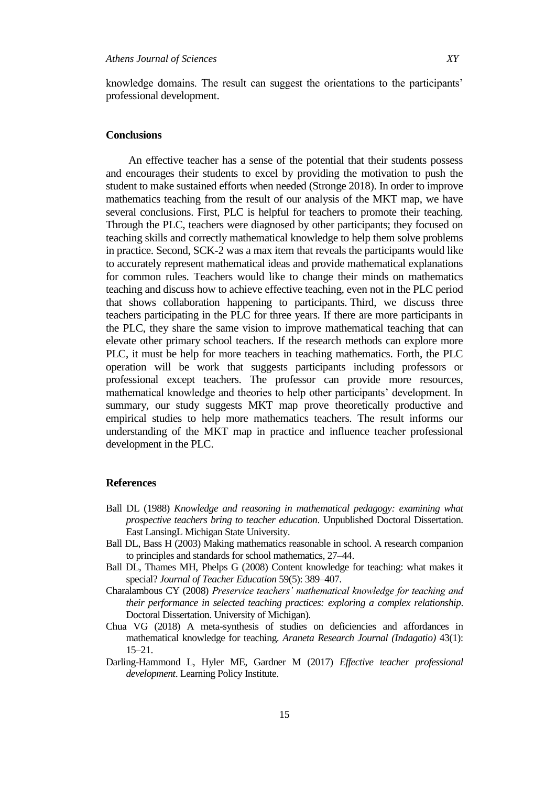knowledge domains. The result can suggest the orientations to the participants' professional development.

## **Conclusions**

An effective teacher has a sense of the potential that their students possess and encourages their students to excel by providing the motivation to push the student to make sustained efforts when needed (Stronge 2018). In order to improve mathematics teaching from the result of our analysis of the MKT map, we have several conclusions. First, PLC is helpful for teachers to promote their teaching. Through the PLC, teachers were diagnosed by other participants; they focused on teaching skills and correctly mathematical knowledge to help them solve problems in practice. Second, SCK-2 was a max item that reveals the participants would like to accurately represent mathematical ideas and provide mathematical explanations for common rules. Teachers would like to change their minds on mathematics teaching and discuss how to achieve effective teaching, even not in the PLC period that shows collaboration happening to participants. Third, we discuss three teachers participating in the PLC for three years. If there are more participants in the PLC, they share the same vision to improve mathematical teaching that can elevate other primary school teachers. If the research methods can explore more PLC, it must be help for more teachers in teaching mathematics. Forth, the PLC operation will be work that suggests participants including professors or professional except teachers. The professor can provide more resources, mathematical knowledge and theories to help other participants' development. In summary, our study suggests MKT map prove theoretically productive and empirical studies to help more mathematics teachers. The result informs our understanding of the MKT map in practice and influence teacher professional development in the PLC.

#### **References**

- Ball DL (1988) *Knowledge and reasoning in mathematical pedagogy: examining what prospective teachers bring to teacher education*. Unpublished Doctoral Dissertation. East LansingL Michigan State University.
- Ball DL, Bass H (2003) Making mathematics reasonable in school. A research companion to principles and standards for school mathematics, 27–44.
- Ball DL, Thames MH, Phelps G (2008) Content knowledge for teaching: what makes it special? *Journal of Teacher Education* 59(5): 389–407.
- Charalambous CY (2008) *Preservice teachers' mathematical knowledge for teaching and their performance in selected teaching practices: exploring a complex relationship*. Doctoral Dissertation. University of Michigan).
- Chua VG (2018) A meta-synthesis of studies on deficiencies and affordances in mathematical knowledge for teaching. *Araneta Research Journal (Indagatio)* 43(1): 15–21.
- Darling-Hammond L, Hyler ME, Gardner M (2017) *Effective teacher professional development*. Learning Policy Institute.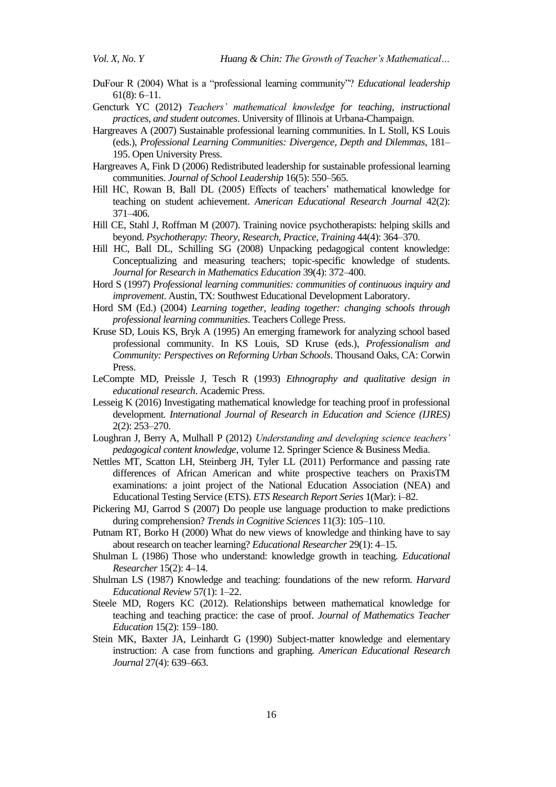- DuFour R (2004) What is a "professional learning community"? *Educational leadership* 61(8): 6–11.
- Gencturk YC (2012) *Teachers' mathematical knowledge for teaching, instructional practices, and student outcomes*. University of Illinois at Urbana-Champaign.
- Hargreaves A (2007) Sustainable professional learning communities. In L Stoll, KS Louis (eds.), *Professional Learning Communities: Divergence, Depth and Dilemmas*, 181– 195. Open University Press.
- Hargreaves A, Fink D (2006) Redistributed leadership for sustainable professional learning communities. *Journal of School Leadership* 16(5): 550–565.
- Hill HC, Rowan B, Ball DL (2005) Effects of teachers' mathematical knowledge for teaching on student achievement. *American Educational Research Journal* 42(2): 371–406.
- Hill CE, Stahl J, Roffman M (2007). Training novice psychotherapists: helping skills and beyond. *Psychotherapy: Theory, Research, Practice, Training* 44(4): 364–370.
- Hill HC, Ball DL, Schilling SG (2008) Unpacking pedagogical content knowledge: Conceptualizing and measuring teachers; topic-specific knowledge of students. *Journal for Research in Mathematics Education* 39(4): 372–400.
- Hord S (1997) *Professional learning communities: communities of continuous inquiry and improvement*. Austin, TX: Southwest Educational Development Laboratory.
- Hord SM (Ed.) (2004) *Learning together, leading together: changing schools through professional learning communities*. Teachers College Press.
- Kruse SD, Louis KS, Bryk A (1995) An emerging framework for analyzing school based professional community. In KS Louis, SD Kruse (eds.), *Professionalism and Community: Perspectives on Reforming Urban Schools*. Thousand Oaks, CA: Corwin Press.
- LeCompte MD, Preissle J, Tesch R (1993) *Ethnography and qualitative design in educational research*. Academic Press.
- Lesseig K (2016) Investigating mathematical knowledge for teaching proof in professional development. *International Journal of Research in Education and Science (IJRES)* 2(2): 253–270.
- Loughran J, Berry A, Mulhall P (2012) *Understanding and developing science teachers' pedagogical content knowledge*, volume 12. Springer Science & Business Media.
- Nettles MT, Scatton LH, Steinberg JH, Tyler LL (2011) Performance and passing rate differences of African American and white prospective teachers on PraxisTM examinations: a joint project of the National Education Association (NEA) and Educational Testing Service (ETS). *ETS Research Report Series* 1(Mar): i–82.
- Pickering MJ, Garrod S (2007) Do people use language production to make predictions during comprehension? *Trends in Cognitive Sciences* 11(3): 105–110.
- Putnam RT, Borko H (2000) What do new views of knowledge and thinking have to say about research on teacher learning? *Educational Researcher* 29(1): 4–15.
- Shulman L (1986) Those who understand: knowledge growth in teaching. *Educational Researcher* 15(2): 4–14.
- Shulman LS (1987) Knowledge and teaching: foundations of the new reform. *Harvard Educational Review* 57(1): 1–22.
- Steele MD, Rogers KC (2012). Relationships between mathematical knowledge for teaching and teaching practice: the case of proof. *Journal of Mathematics Teacher Education* 15(2): 159–180.
- Stein MK, Baxter JA, Leinhardt G (1990) Subject-matter knowledge and elementary instruction: A case from functions and graphing. *American Educational Research Journal* 27(4): 639–663.